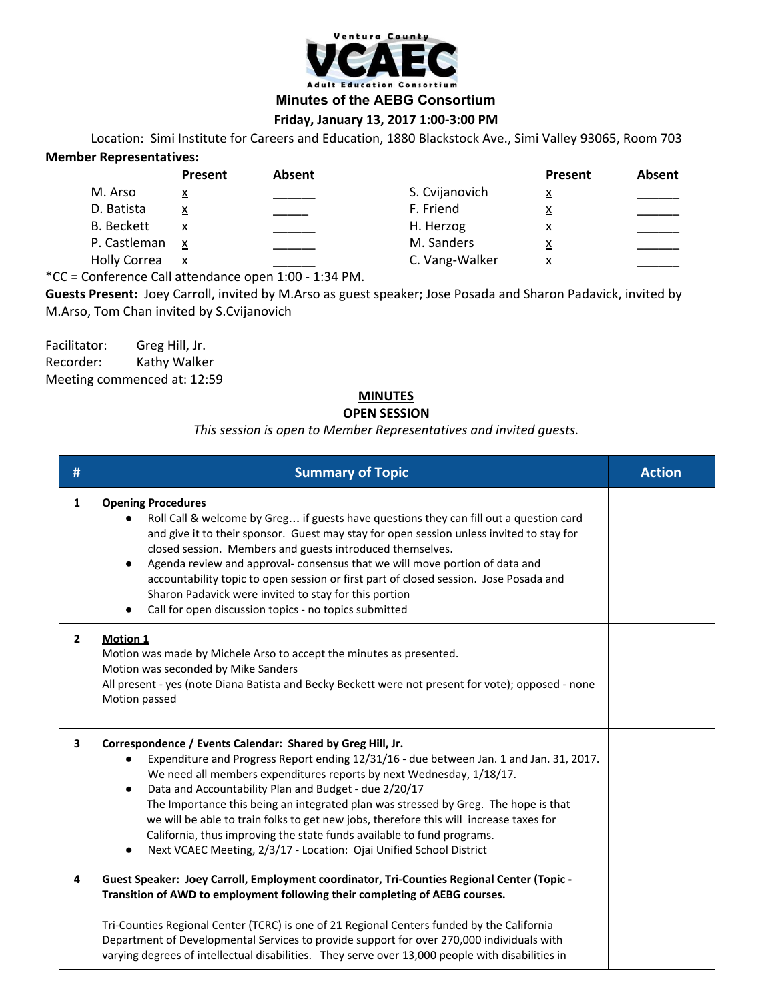

**Minutes of the AEBG Consortium**

## **Friday, January 13, 2017 1:00-3:00 PM**

Location: Simi Institute for Careers and Education, 1880 Blackstock Ave., Simi Valley 93065, Room 703 **Member Representatives:**

|                     | Present  | <b>Absent</b> |                | Present  | Absent |
|---------------------|----------|---------------|----------------|----------|--------|
| M. Arso             | <u>x</u> |               | S. Cvijanovich | <u>x</u> |        |
| D. Batista          | x        |               | F. Friend      | <u>x</u> |        |
| <b>B.</b> Beckett   |          |               | H. Herzog      | <u>x</u> |        |
| P. Castleman        | X        |               | M. Sanders     | <u>x</u> |        |
| <b>Holly Correa</b> | x        |               | C. Vang-Walker | x        |        |
|                     |          |               |                |          |        |

\*CC = Conference Call attendance open 1:00 - 1:34 PM.

**Guests Present:** Joey Carroll, invited by M.Arso as guest speaker; Jose Posada and Sharon Padavick, invited by M.Arso, Tom Chan invited by S.Cvijanovich

Facilitator: Greg Hill, Jr. Recorder: Kathy Walker Meeting commenced at: 12:59

## **MINUTES**

## **OPEN SESSION**

## *This session is open to Member Representatives and invited guests.*

| #            | <b>Summary of Topic</b>                                                                                                                                                                                                                                                                                                                                                                                                                                                                                                                                                                                                               | <b>Action</b> |
|--------------|---------------------------------------------------------------------------------------------------------------------------------------------------------------------------------------------------------------------------------------------------------------------------------------------------------------------------------------------------------------------------------------------------------------------------------------------------------------------------------------------------------------------------------------------------------------------------------------------------------------------------------------|---------------|
| $\mathbf{1}$ | <b>Opening Procedures</b><br>Roll Call & welcome by Greg if guests have questions they can fill out a question card<br>and give it to their sponsor. Guest may stay for open session unless invited to stay for<br>closed session. Members and guests introduced themselves.<br>Agenda review and approval- consensus that we will move portion of data and<br>$\bullet$<br>accountability topic to open session or first part of closed session. Jose Posada and<br>Sharon Padavick were invited to stay for this portion<br>Call for open discussion topics - no topics submitted                                                   |               |
| $\mathbf{2}$ | Motion 1<br>Motion was made by Michele Arso to accept the minutes as presented.<br>Motion was seconded by Mike Sanders<br>All present - yes (note Diana Batista and Becky Beckett were not present for vote); opposed - none<br>Motion passed                                                                                                                                                                                                                                                                                                                                                                                         |               |
| 3            | Correspondence / Events Calendar: Shared by Greg Hill, Jr.<br>Expenditure and Progress Report ending 12/31/16 - due between Jan. 1 and Jan. 31, 2017.<br>We need all members expenditures reports by next Wednesday, 1/18/17.<br>Data and Accountability Plan and Budget - due 2/20/17<br>$\bullet$<br>The Importance this being an integrated plan was stressed by Greg. The hope is that<br>we will be able to train folks to get new jobs, therefore this will increase taxes for<br>California, thus improving the state funds available to fund programs.<br>Next VCAEC Meeting, 2/3/17 - Location: Ojai Unified School District |               |
| 4            | Guest Speaker: Joey Carroll, Employment coordinator, Tri-Counties Regional Center (Topic -<br>Transition of AWD to employment following their completing of AEBG courses.<br>Tri-Counties Regional Center (TCRC) is one of 21 Regional Centers funded by the California<br>Department of Developmental Services to provide support for over 270,000 individuals with<br>varying degrees of intellectual disabilities. They serve over 13,000 people with disabilities in                                                                                                                                                              |               |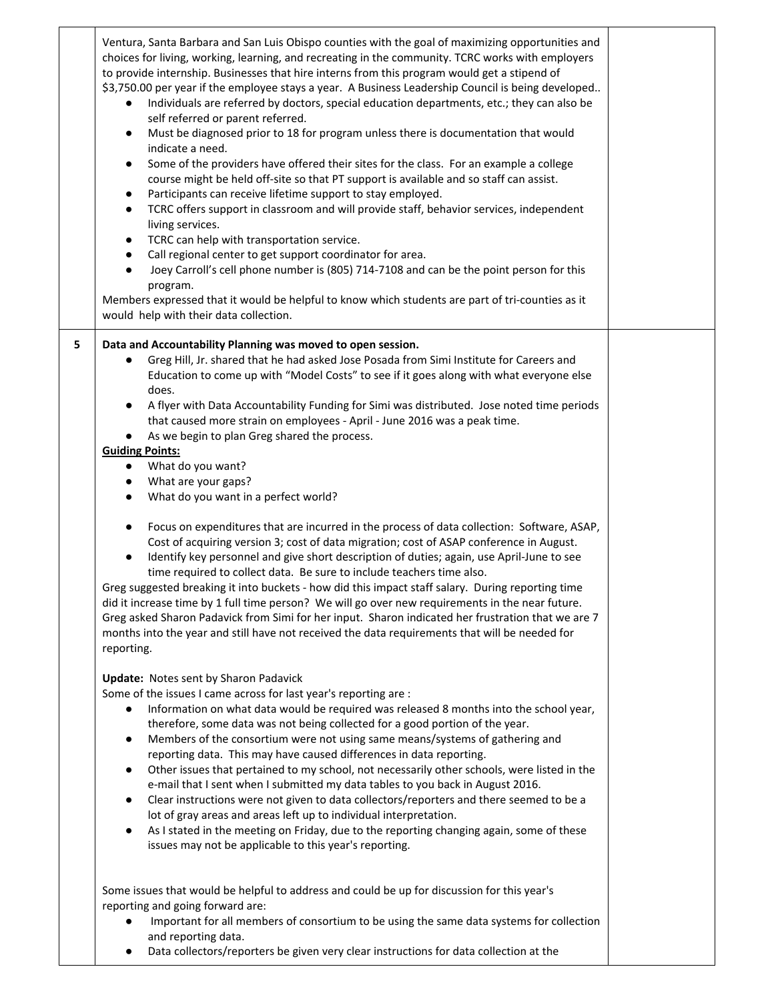|   | Ventura, Santa Barbara and San Luis Obispo counties with the goal of maximizing opportunities and<br>choices for living, working, learning, and recreating in the community. TCRC works with employers<br>to provide internship. Businesses that hire interns from this program would get a stipend of<br>\$3,750.00 per year if the employee stays a year. A Business Leadership Council is being developed<br>Individuals are referred by doctors, special education departments, etc.; they can also be<br>$\bullet$<br>self referred or parent referred.<br>Must be diagnosed prior to 18 for program unless there is documentation that would<br>$\bullet$<br>indicate a need.<br>Some of the providers have offered their sites for the class. For an example a college<br>$\bullet$<br>course might be held off-site so that PT support is available and so staff can assist.<br>Participants can receive lifetime support to stay employed.<br>$\bullet$<br>TCRC offers support in classroom and will provide staff, behavior services, independent<br>$\bullet$<br>living services.<br>TCRC can help with transportation service.<br>$\bullet$<br>Call regional center to get support coordinator for area.<br>$\bullet$<br>Joey Carroll's cell phone number is (805) 714-7108 and can be the point person for this<br>$\bullet$<br>program.<br>Members expressed that it would be helpful to know which students are part of tri-counties as it<br>would help with their data collection. |  |
|---|-----------------------------------------------------------------------------------------------------------------------------------------------------------------------------------------------------------------------------------------------------------------------------------------------------------------------------------------------------------------------------------------------------------------------------------------------------------------------------------------------------------------------------------------------------------------------------------------------------------------------------------------------------------------------------------------------------------------------------------------------------------------------------------------------------------------------------------------------------------------------------------------------------------------------------------------------------------------------------------------------------------------------------------------------------------------------------------------------------------------------------------------------------------------------------------------------------------------------------------------------------------------------------------------------------------------------------------------------------------------------------------------------------------------------------------------------------------------------------------------------------|--|
| 5 | Data and Accountability Planning was moved to open session.<br>Greg Hill, Jr. shared that he had asked Jose Posada from Simi Institute for Careers and<br>$\bullet$<br>Education to come up with "Model Costs" to see if it goes along with what everyone else                                                                                                                                                                                                                                                                                                                                                                                                                                                                                                                                                                                                                                                                                                                                                                                                                                                                                                                                                                                                                                                                                                                                                                                                                                      |  |
|   | does.<br>A flyer with Data Accountability Funding for Simi was distributed. Jose noted time periods<br>$\bullet$<br>that caused more strain on employees - April - June 2016 was a peak time.<br>As we begin to plan Greg shared the process.                                                                                                                                                                                                                                                                                                                                                                                                                                                                                                                                                                                                                                                                                                                                                                                                                                                                                                                                                                                                                                                                                                                                                                                                                                                       |  |
|   | <b>Guiding Points:</b>                                                                                                                                                                                                                                                                                                                                                                                                                                                                                                                                                                                                                                                                                                                                                                                                                                                                                                                                                                                                                                                                                                                                                                                                                                                                                                                                                                                                                                                                              |  |
|   | What do you want?<br>$\bullet$                                                                                                                                                                                                                                                                                                                                                                                                                                                                                                                                                                                                                                                                                                                                                                                                                                                                                                                                                                                                                                                                                                                                                                                                                                                                                                                                                                                                                                                                      |  |
|   | What are your gaps?<br>$\bullet$                                                                                                                                                                                                                                                                                                                                                                                                                                                                                                                                                                                                                                                                                                                                                                                                                                                                                                                                                                                                                                                                                                                                                                                                                                                                                                                                                                                                                                                                    |  |
|   | What do you want in a perfect world?<br>$\bullet$                                                                                                                                                                                                                                                                                                                                                                                                                                                                                                                                                                                                                                                                                                                                                                                                                                                                                                                                                                                                                                                                                                                                                                                                                                                                                                                                                                                                                                                   |  |
|   | Focus on expenditures that are incurred in the process of data collection: Software, ASAP,<br>٠<br>Cost of acquiring version 3; cost of data migration; cost of ASAP conference in August.<br>Identify key personnel and give short description of duties; again, use April-June to see<br>٠<br>time required to collect data. Be sure to include teachers time also.                                                                                                                                                                                                                                                                                                                                                                                                                                                                                                                                                                                                                                                                                                                                                                                                                                                                                                                                                                                                                                                                                                                               |  |
|   | Greg suggested breaking it into buckets - how did this impact staff salary. During reporting time<br>did it increase time by 1 full time person? We will go over new requirements in the near future.<br>Greg asked Sharon Padavick from Simi for her input. Sharon indicated her frustration that we are 7<br>months into the year and still have not received the data requirements that will be needed for<br>reporting.                                                                                                                                                                                                                                                                                                                                                                                                                                                                                                                                                                                                                                                                                                                                                                                                                                                                                                                                                                                                                                                                         |  |
|   |                                                                                                                                                                                                                                                                                                                                                                                                                                                                                                                                                                                                                                                                                                                                                                                                                                                                                                                                                                                                                                                                                                                                                                                                                                                                                                                                                                                                                                                                                                     |  |
|   | <b>Update:</b> Notes sent by Sharon Padavick<br>Some of the issues I came across for last year's reporting are :<br>Information on what data would be required was released 8 months into the school year,<br>٠<br>therefore, some data was not being collected for a good portion of the year.<br>Members of the consortium were not using same means/systems of gathering and<br>$\bullet$                                                                                                                                                                                                                                                                                                                                                                                                                                                                                                                                                                                                                                                                                                                                                                                                                                                                                                                                                                                                                                                                                                        |  |
|   | reporting data. This may have caused differences in data reporting.<br>Other issues that pertained to my school, not necessarily other schools, were listed in the<br>٠<br>e-mail that I sent when I submitted my data tables to you back in August 2016.                                                                                                                                                                                                                                                                                                                                                                                                                                                                                                                                                                                                                                                                                                                                                                                                                                                                                                                                                                                                                                                                                                                                                                                                                                           |  |
|   | Clear instructions were not given to data collectors/reporters and there seemed to be a<br>٠<br>lot of gray areas and areas left up to individual interpretation.<br>As I stated in the meeting on Friday, due to the reporting changing again, some of these<br>٠<br>issues may not be applicable to this year's reporting.                                                                                                                                                                                                                                                                                                                                                                                                                                                                                                                                                                                                                                                                                                                                                                                                                                                                                                                                                                                                                                                                                                                                                                        |  |
|   | Some issues that would be helpful to address and could be up for discussion for this year's                                                                                                                                                                                                                                                                                                                                                                                                                                                                                                                                                                                                                                                                                                                                                                                                                                                                                                                                                                                                                                                                                                                                                                                                                                                                                                                                                                                                         |  |
|   | reporting and going forward are:<br>Important for all members of consortium to be using the same data systems for collection<br>$\bullet$<br>and reporting data.                                                                                                                                                                                                                                                                                                                                                                                                                                                                                                                                                                                                                                                                                                                                                                                                                                                                                                                                                                                                                                                                                                                                                                                                                                                                                                                                    |  |
|   | Data collectors/reporters be given very clear instructions for data collection at the<br>$\bullet$                                                                                                                                                                                                                                                                                                                                                                                                                                                                                                                                                                                                                                                                                                                                                                                                                                                                                                                                                                                                                                                                                                                                                                                                                                                                                                                                                                                                  |  |